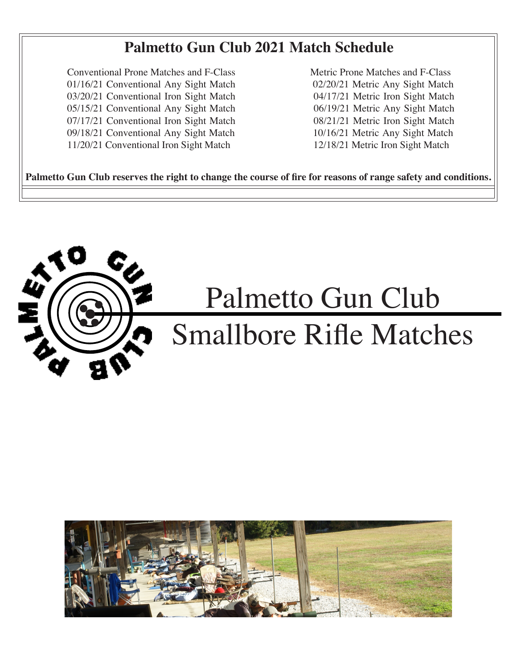## **Palmetto Gun Club 2021 Match Schedule**

**Conventional Prone Matches and F-Class** 01/16/21 Conventional Any Sight Match 03/20/21 Conventional Iron Sight Match 05/15/21 Conventional Any Sight Match 07/17/21 Conventional Iron Sight Match 09/18/21 Conventional Any Sight Match 11/20/21 Conventional Iron Sight Match

Metric Prone Matches and F-Class 02/20/21 Metric Any Sight Match 04/17/21 Metric Iron Sight Match 06/19/21 Metric Any Sight Match 08/21/21 Metric Iron Sight Match 10/16/21 Metric Any Sight Match 12/18/21 Metric Iron Sight Match

Palmetto Gun Club reserves the right to change the course of fire for reasons of range safety and conditions.



## Palmetto Gun Club Smallbore Rifle Matches